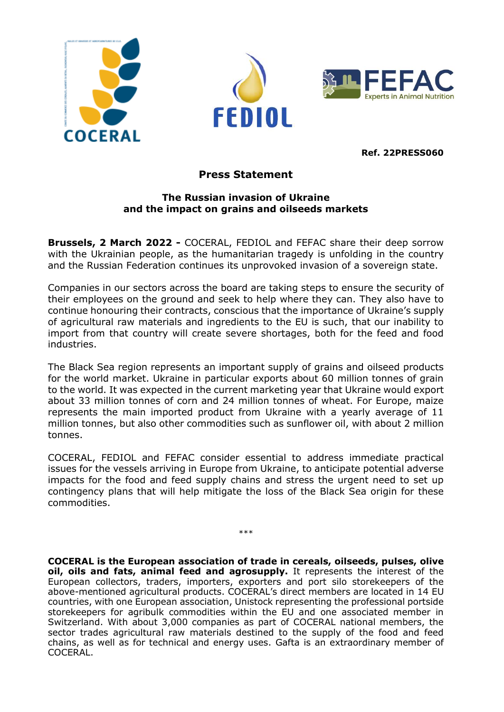





**Ref. 22PRESS060**

## **Press Statement**

## **The Russian invasion of Ukraine and the impact on grains and oilseeds markets**

**Brussels, 2 March 2022 -** COCERAL, FEDIOL and FEFAC share their deep sorrow with the Ukrainian people, as the humanitarian tragedy is unfolding in the country and the Russian Federation continues its unprovoked invasion of a sovereign state.

Companies in our sectors across the board are taking steps to ensure the security of their employees on the ground and seek to help where they can. They also have to continue honouring their contracts, conscious that the importance of Ukraine's supply of agricultural raw materials and ingredients to the EU is such, that our inability to import from that country will create severe shortages, both for the feed and food industries.

The Black Sea region represents an important supply of grains and oilseed products for the world market. Ukraine in particular exports about 60 million tonnes of grain to the world. It was expected in the current marketing year that Ukraine would export about 33 million tonnes of corn and 24 million tonnes of wheat. For Europe, maize represents the main imported product from Ukraine with a yearly average of 11 million tonnes, but also other commodities such as sunflower oil, with about 2 million tonnes.

COCERAL, FEDIOL and FEFAC consider essential to address immediate practical issues for the vessels arriving in Europe from Ukraine, to anticipate potential adverse impacts for the food and feed supply chains and stress the urgent need to set up contingency plans that will help mitigate the loss of the Black Sea origin for these commodities.

\*\*\*

**COCERAL is the European association of trade in cereals, oilseeds, pulses, olive oil, oils and fats, animal feed and agrosupply.** It represents the interest of the European collectors, traders, importers, exporters and port silo storekeepers of the above-mentioned agricultural products. COCERAL's direct members are located in 14 EU countries, with one European association, Unistock representing the professional portside storekeepers for agribulk commodities within the EU and one associated member in Switzerland. With about 3,000 companies as part of COCERAL national members, the sector trades agricultural raw materials destined to the supply of the food and feed chains, as well as for technical and energy uses. Gafta is an extraordinary member of COCERAL.